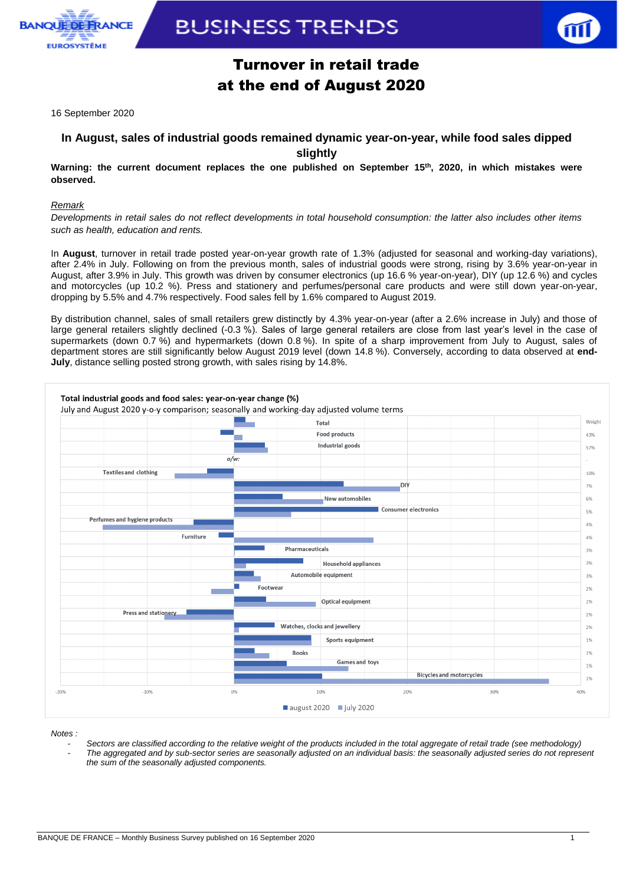

# **BUSINESS TRENDS**



# Turnover in retail trade at the end of August 2020

16 September 2020

## **In August, sales of industrial goods remained dynamic year-on-year, while food sales dipped slightly**

### **Warning: the current document replaces the one published on September 15th, 2020, in which mistakes were observed.**

### *Remark*

*Developments in retail sales do not reflect developments in total household consumption: the latter also includes other items such as health, education and rents.*

In **August**, turnover in retail trade posted year-on-year growth rate of 1.3% (adjusted for seasonal and working-day variations), after 2.4% in July. Following on from the previous month, sales of industrial goods were strong, rising by 3.6% year-on-year in August, after 3.9% in July. This growth was driven by consumer electronics (up 16.6 % year-on-year), DIY (up 12.6 %) and cycles and motorcycles (up 10.2 %). Press and stationery and perfumes/personal care products and were still down year-on-year, dropping by 5.5% and 4.7% respectively. Food sales fell by 1.6% compared to August 2019.

By distribution channel, sales of small retailers grew distinctly by 4.3% year-on-year (after a 2.6% increase in July) and those of large general retailers slightly declined (-0.3 %). Sales of large general retailers are close from last year's level in the case of supermarkets (down 0.7 %) and hypermarkets (down 0.8 %). In spite of a sharp improvement from July to August, sales of department stores are still significantly below August 2019 level (down 14.8 %). Conversely, according to data observed at **end-July**, distance selling posted strong growth, with sales rising by 14.8%.



#### *Notes :*

*- Sectors are classified according to the relative weight of the products included in the total aggregate of retail trade (see methodology) - The aggregated and by sub-sector series are seasonally adjusted on an individual basis: the seasonally adjusted series do not represent the sum of the seasonally adjusted components.*